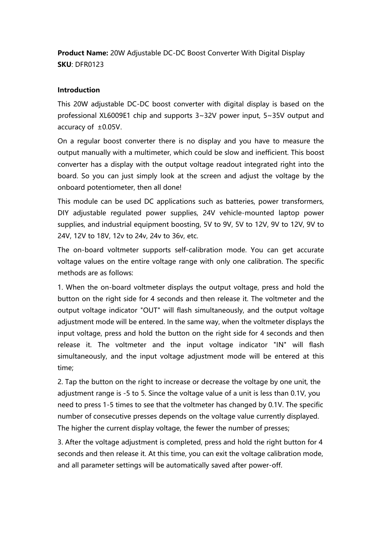**Product Name:** 20W Adjustable DC-DC Boost Converter With Digital Display **SKU**: DFR0123

### **Introduction**

This 20W adjustable DC-DC boost converter with digital display is based on the professional XL6009E1 chip and supports 3~32V power input, 5~35V output and

accuracy of  $\pm$ 0.05V.<br>On a regular boost converter there is no display and you have to measure the output manually with a multimeter,which could be slow and inefficient. This boost converter has a display with the output voltage readout integrated right into the board. So you can just simply look at the screen and adjust the voltage by the onboard potentiometer, then all done!

This module can be used DC applications such as batteries, power transformers, DIY adjustable regulated power supplies, 24V vehicle-mounted laptop power supplies, and industrial equipment boosting, 5V to 9V, 5V to 12V, 9V to 12V, 9V to 24V, 12V to 18V, 12v to 24v, 24v to 36v, etc.

The on-board voltmeter supports self-calibration mode. You can get accurate voltage values on the entire voltage range with only one calibration. The specific methods are as follows:

1. When the on-board voltmeter displays the output voltage, press and hold the button on the right side for 4 seconds and then release it. The voltmeter and the output voltage indicator "OUT" will flash simultaneously, and the output voltage adjustment mode will be entered. In the same way, when the voltmeter displays the input voltage, press and hold the button on the right side for 4 seconds and then release it. The voltmeter and the input voltage indicator "IN" will flash simultaneously, and the input voltage adjustment mode will be entered at this time;

2. Tap the button on the right to increase or decrease the voltage by one unit, the adjustment range is -5 to 5. Since the voltage value of a unit is less than 0.1V, you need to press 1-5 times to see that the voltmeter has changed by 0.1V. The specific number of consecutive presses depends on the voltage value currently displayed. The higher the current display voltage, the fewer the number of presses;

3. After the voltage adjustment is completed, press and hold the right button for 4 seconds and then release it. At this time, you can exit the voltage calibration mode, and all parameter settings will be automatically saved after power-off.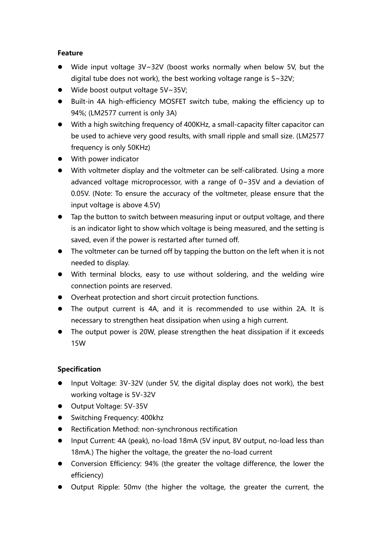## **Feature**

- Wide input voltage 3V~32V (boost works normally when below 5V, but the digital tube does not work), the best working voltage range is 5~32V;
- Wide boost output voltage 5V~35V;
- Built-in 4A high-efficiency MOSFET switch tube, making the efficiency up to 94%; (LM2577 current is only 3A)
- With a high switching frequency of 400KHz, a small-capacity filter capacitor can be used to achieve very good results, with small ripple and small size. (LM2577 frequency is only 50KHz)
- With power indicator
- With voltmeter display and the voltmeter can be self-calibrated. Using a more advanced voltage microprocessor, with a range of 0~35V and a deviation of 0.05V. (Note: To ensure the accuracy of the voltmeter, please ensure that the input voltage is above 4.5V)
- Tap the button to switch between measuring input or output voltage, and there is an indicator light to show which voltage is being measured, and the setting is saved, even if the power is restarted after turned off.
- The voltmeter can be turned off by tapping the button on the left when it is not needed to display.
- With terminal blocks, easy to use without soldering, and the welding wire connection points are reserved.
- Overheat protection and short circuit protection functions.
- The output current is 4A, and it is recommended to use within 2A. It is necessary to strengthen heat dissipation when using a high current.
- The output power is 20W, please strengthen the heat dissipation if it exceeds 15W

# **Specification**

- Input Voltage: 3V-32V (under 5V, the digital display does not work), the best working voltage is 5V-32V
- Output Voltage: 5V-35V
- **Switching Frequency: 400khz**
- Rectification Method: non-synchronous rectification
- Input Current: 4A (peak), no-load 18mA (5V input, 8V output, no-load less than 18mA.) The higher the voltage, the greater the no-load current
- Conversion Efficiency: 94% (the greater the voltage difference, the lower the efficiency)
- Output Ripple: 50mv (the higher the voltage, the greater the current, the